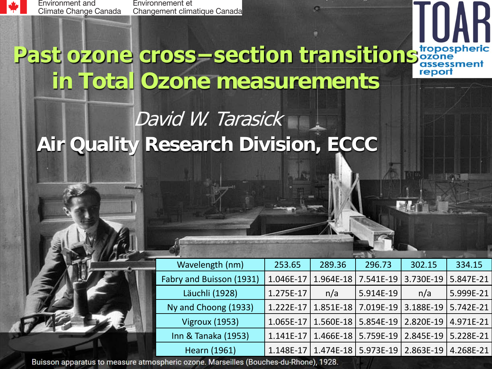

Environment and Climate Change Canada

Environnement et Changement climatique Canada

# **Past ozone cross−section transitions cropospheric in Total Ozone measurements**

#### David W. Tarasick **Air Quality Research Division, ECCC**

| Wavelength (nm)          | 253.65      | 289.36    | 296.73                                        | 302.15    | 334.15            |
|--------------------------|-------------|-----------|-----------------------------------------------|-----------|-------------------|
| Fabry and Buisson (1931) | 1.046E-17   | 1.964E-18 | 7.541E-19                                     | 3.730E-19 | 5.847E-21         |
| Läuchli (1928)           | 1.275E-17   | n/a       | 5.914E-19                                     | n/a       | 5.999E-21         |
| Ny and Choong (1933)     | $1.222E-17$ | 1.851E-18 | $17.019E-19$                                  | 3.188E-19 | $  5.742E - 21  $ |
| <b>Vigroux (1953)</b>    | $1.065E-17$ | 1.560E-18 | $ 5.854E-19 $                                 | 2.820E-19 | 4.971E-21         |
| Inn & Tanaka (1953)      | 1.141E-17   | 1.466E-18 | $  5.759E-19$                                 | 2.845E-19 | 5.228E-21         |
| <b>Hearn (1961)</b>      |             |           | 1.148E-17   1.474E-18   5.973E-19   2.863E-19 |           | 4.268E-21         |

Buisson apparatus to measure atmospheric ozone. Marseilles (Bouches-du-Rhone), 1928.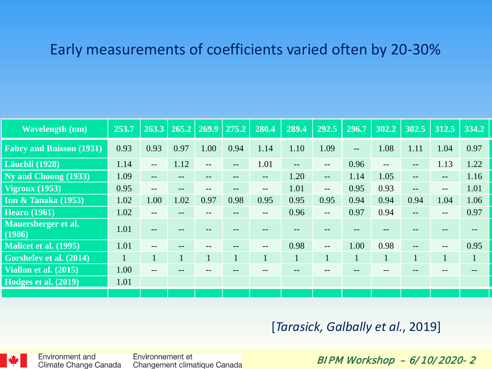#### Early measurements of coefficients varied often by 20-30%

| <b>Wavelength (nm)</b>             | 253.7        |                          | $263.3 \mid 265.2 \mid 269.9 \mid$ |                   | 275.2 | 280.4        | 289.4        | 292.5                    | 296.7             | 302.2                                 | 302.5             | 312.5             | 334.2        |
|------------------------------------|--------------|--------------------------|------------------------------------|-------------------|-------|--------------|--------------|--------------------------|-------------------|---------------------------------------|-------------------|-------------------|--------------|
| <b>Fabry and Buisson (1931)</b>    | 0.93         | 0.93                     | 0.97                               | 1.00              | 0.94  | 1.14         | 1.10         | 1.09                     | $\qquad \qquad -$ | 1.08                                  | 1.11              | 1.04              | 0.97         |
| <b>Läuchli</b> (1928)              | 1.14         | $\overline{\phantom{a}}$ | 1.12                               | $- -$             | --    | 1.01         | --           | $\qquad \qquad -$        | 0.96              | $\hspace{0.05cm}$ – $\hspace{0.05cm}$ | --                | 1.13              | 1.22         |
| Ny and Choong (1933)               | 1.09         | $\qquad \qquad -$        |                                    |                   |       | $--$         | 1.20         | $--$                     | 1.14              | 1.05                                  | $\qquad \qquad -$ | $\qquad \qquad -$ | 1.16         |
| $\overline{\text{Vigroux}}$ (1953) | 0.95         | $\sim$ $\sim$            | --                                 | $\qquad \qquad -$ | --    | $- -$        | 1.01         | $\overline{\phantom{a}}$ | 0.95              | 0.93                                  | $-$               | $\qquad \qquad -$ | 1.01         |
| <b>Inn &amp; Tanaka (1953)</b>     | 1.02         | 1.00                     | 1.02                               | 0.97              | 0.98  | 0.95         | 0.95         | 0.95                     | 0.94              | 0.94                                  | 0.94              | 1.04              | 1.06         |
| <b>Hearn</b> (1961)                | 1.02         | $-$                      | --                                 |                   | --    | $- -$        | 0.96         | $\sim$ $\sim$            | 0.97              | 0.94                                  | $-$               | $- -$             | 0.97         |
| Mauersberger et al.<br>(1986)      | 1.01         | $- -$                    |                                    |                   |       |              |              |                          |                   |                                       |                   |                   |              |
| Malicet et al. (1995)              | 1.01         | $-$                      | $- -$                              | $- -$             | --    | $- -$        | 0.98         | $\sim$ $\sim$            | 1.00              | 0.98                                  | $- -$             | $- -$             | 0.95         |
| Gorshelev et al. (2014)            | $\mathbf{1}$ | $\mathbf{1}$             | 1                                  | $\mathbf{1}$      |       | $\mathbf{1}$ | $\mathbf{1}$ | $\mathbf{1}$             | $\mathbf{1}$      |                                       | $\mathbf{1}$      | $\mathbf{1}$      | $\mathbf{1}$ |
| Viallon et al. (2015)              | 1.00         | $\qquad \qquad -$        |                                    |                   |       |              |              |                          |                   |                                       |                   |                   |              |
| Hodges et al. (2019)               | 1.01         |                          |                                    |                   |       |              |              |                          |                   |                                       |                   |                   |              |
|                                    |              |                          |                                    |                   |       |              |              |                          |                   |                                       |                   |                   |              |

#### [*Tarasick, Galbally et al.*, 2019]



Environnement et Changement climatique Canada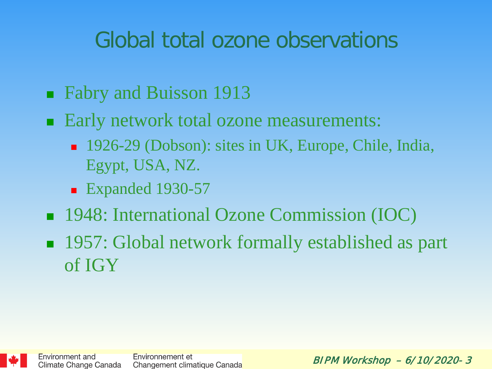## Global total ozone observations

- Fabry and Buisson 1913
- Early network total ozone measurements:
	- 1926-29 (Dobson): sites in UK, Europe, Chile, India, Egypt, USA, NZ.
	- Expanded 1930-57
- 1948: International Ozone Commission (IOC)
- 1957: Global network formally established as part of IGY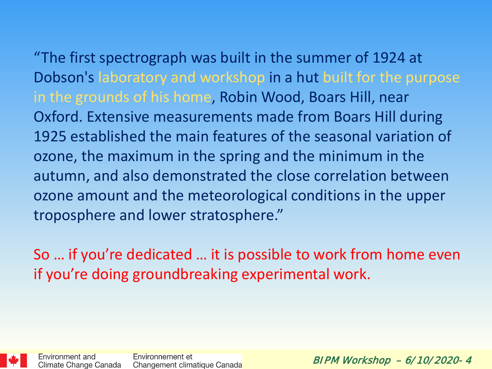"The first spectrograph was built in the summer of 1924 at Dobson's laboratory and workshop in a hut built for the purpose in the grounds of his home, Robin Wood, Boars Hill, near Oxford. Extensive measurements made from Boars Hill during 1925 established the main features of the seasonal variation of ozone, the maximum in the spring and the minimum in the autumn, and also demonstrated the close correlation between ozone amount and the meteorological conditions in the upper troposphere and lower stratosphere."

So … if you're dedicated … it is possible to work from home even if you're doing groundbreaking experimental work.

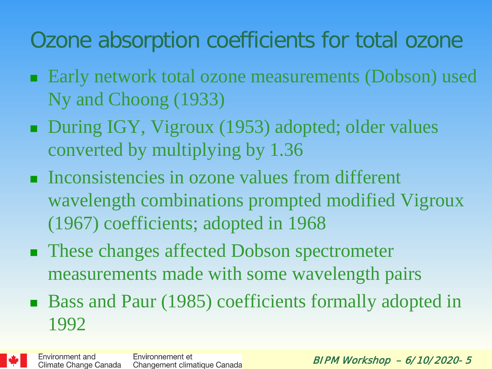# Ozone absorption coefficients for total ozone

- Early network total ozone measurements (Dobson) used Ny and Choong (1933)
- During IGY, Vigroux (1953) adopted; older values converted by multiplying by 1.36
- **Inconsistencies in ozone values from different** wavelength combinations prompted modified Vigroux (1967) coefficients; adopted in 1968
- These changes affected Dobson spectrometer measurements made with some wavelength pairs
- Bass and Paur (1985) coefficients formally adopted in 1992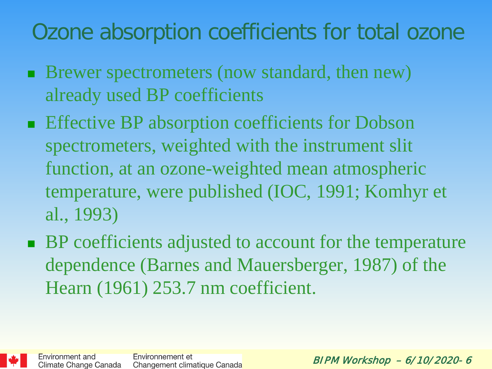# Ozone absorption coefficients for total ozone

- **Brewer spectrometers (now standard, then new)** already used BP coefficients
- **Effective BP absorption coefficients for Dobson** spectrometers, weighted with the instrument slit function, at an ozone-weighted mean atmospheric temperature, were published (IOC, 1991; Komhyr et al., 1993)
- BP coefficients adjusted to account for the temperature dependence (Barnes and Mauersberger, 1987) of the Hearn (1961) 253.7 nm coefficient.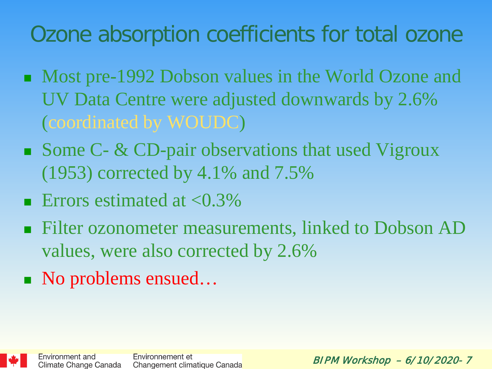# Ozone absorption coefficients for total ozone

- Most pre-1992 Dobson values in the World Ozone and UV Data Centre were adjusted downwards by 2.6% (coordinated by WOUDC)
- Some  $C$   $\&$  CD-pair observations that used Vigroux (1953) corrected by 4.1% and 7.5%
- **E**rrors estimated at  $\langle 0.3\%$
- Filter ozonometer measurements, linked to Dobson AD values, were also corrected by 2.6%
- No problems ensued...

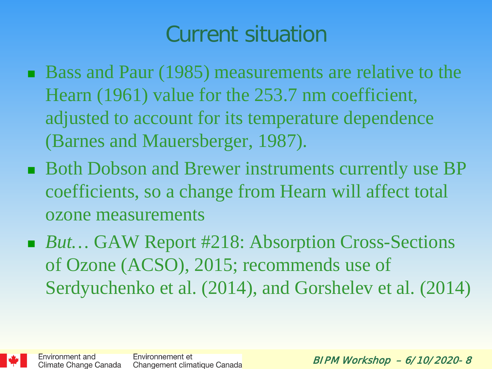## Current situation

- Bass and Paur (1985) measurements are relative to the Hearn (1961) value for the 253.7 nm coefficient, adjusted to account for its temperature dependence (Barnes and Mauersberger, 1987).
- Both Dobson and Brewer instruments currently use BP coefficients, so a change from Hearn will affect total ozone measurements
- *But...* GAW Report #218: Absorption Cross-Sections of Ozone (ACSO), 2015; recommends use of Serdyuchenko et al. (2014), and Gorshelev et al. (2014)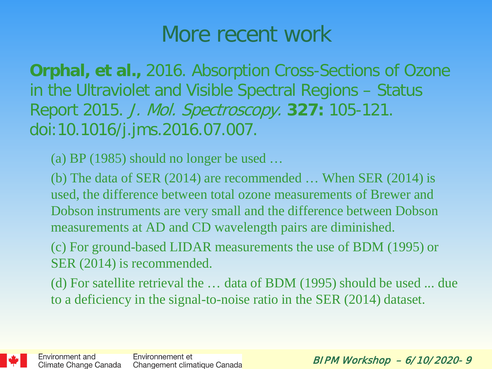#### More recent work

**Orphal, et al.,** 2016. Absorption Cross-Sections of Ozone in the Ultraviolet and Visible Spectral Regions – Status Report 2015. J. Mol. Spectroscopy. **327:** 105-121. doi:10.1016/j.jms.2016.07.007.

(a) BP (1985) should no longer be used …

(b) The data of SER (2014) are recommended … When SER (2014) is used, the difference between total ozone measurements of Brewer and Dobson instruments are very small and the difference between Dobson measurements at AD and CD wavelength pairs are diminished.

(c) For ground-based LIDAR measurements the use of BDM (1995) or SER (2014) is recommended.

(d) For satellite retrieval the … data of BDM (1995) should be used ... due to a deficiency in the signal-to-noise ratio in the SER (2014) dataset.

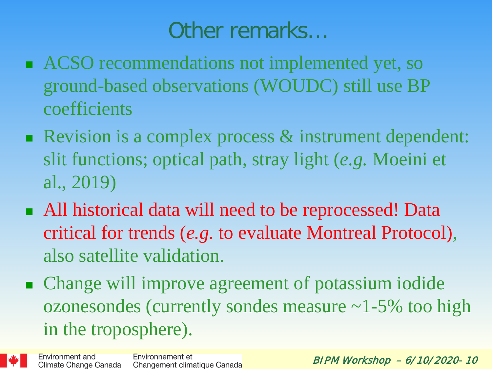#### Other remarks…

- ACSO recommendations not implemented yet, so ground-based observations (WOUDC) still use BP coefficients
- Revision is a complex process & instrument dependent: slit functions; optical path, stray light (*e.g.* Moeini et al., 2019)
- All historical data will need to be reprocessed! Data critical for trends (*e.g.* to evaluate Montreal Protocol), also satellite validation.
- Change will improve agreement of potassium iodide ozonesondes (currently sondes measure  $\sim$  1-5% too high in the troposphere).



Environment and